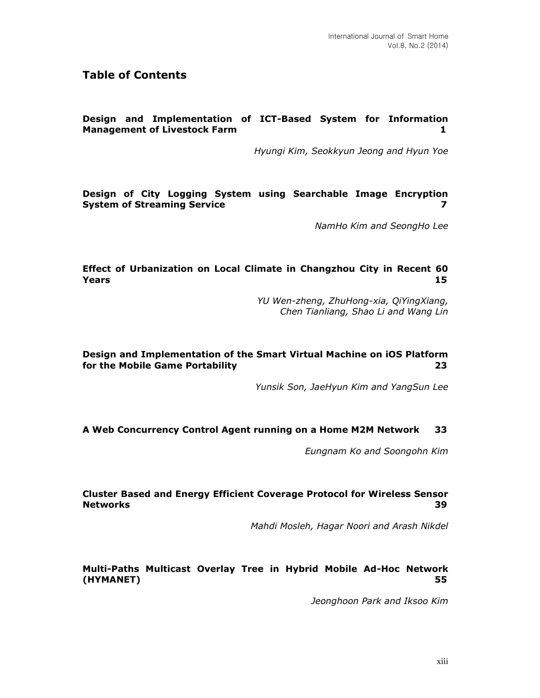## **Table of Contents**

#### **Design and Implementation of ICT-Based System for Information Management of Livestock Farm 1**

*Hyungi Kim, Seokkyun Jeong and Hyun Yoe*

**Design of City Logging System using Searchable Image Encryption System of Streaming Service 7**

*NamHo Kim and SeongHo Lee*

#### **Effect of Urbanization on Local Climate in Changzhou City in Recent 60 Years 15**

*YU Wen-zheng, ZhuHong-xia, QiYingXiang, Chen Tianliang, Shao Li and Wang Lin*

## **Design and Implementation of the Smart Virtual Machine on iOS Platform for the Mobile Game Portability 23**

*Yunsik Son, JaeHyun Kim and YangSun Lee*

#### **A Web Concurrency Control Agent running on a Home M2M Network 33**

*Eungnam Ko and Soongohn Kim*

#### **Cluster Based and Energy Efficient Coverage Protocol for Wireless Sensor Networks 39**

*Mahdi Mosleh, Hagar Noori and Arash Nikdel*

#### **Multi-Paths Multicast Overlay Tree in Hybrid Mobile Ad-Hoc Network (HYMANET) 55**

*Jeonghoon Park and Iksoo Kim*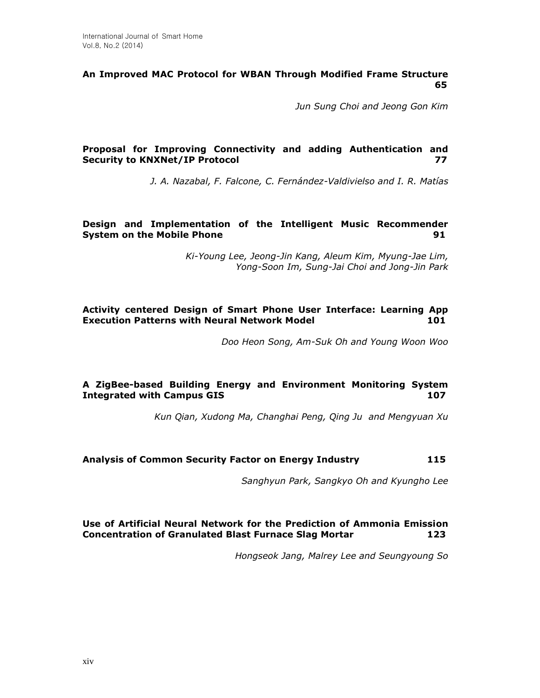#### **An Improved MAC Protocol for WBAN Through Modified Frame Structure 65**

*Jun Sung Choi and Jeong Gon Kim*

## **Proposal for Improving Connectivity and adding Authentication and Security to KNXNet/IP Protocol 77**

*J. A. Nazabal, F. Falcone, C. Fernández-Valdivielso and I. R. Matías*

#### **Design and Implementation of the Intelligent Music Recommender System on the Mobile Phone 91**

*Ki-Young Lee, Jeong-Jin Kang, Aleum Kim, Myung-Jae Lim, Yong-Soon Im, Sung-Jai Choi and Jong-Jin Park*

## **Activity centered Design of Smart Phone User Interface: Learning App Execution Patterns with Neural Network Model 101**

*Doo Heon Song, Am-Suk Oh and Young Woon Woo*

## **A ZigBee-based Building Energy and Environment Monitoring System Integrated with Campus GIS 107**

*Kun Qian, Xudong Ma, Changhai Peng, Qing Ju and Mengyuan Xu*

#### **Analysis of Common Security Factor on Energy Industry 115**

*Sanghyun Park, Sangkyo Oh and Kyungho Lee*

## **Use of Artificial Neural Network for the Prediction of Ammonia Emission Concentration of Granulated Blast Furnace Slag Mortar 123**

*Hongseok Jang, Malrey Lee and Seungyoung So*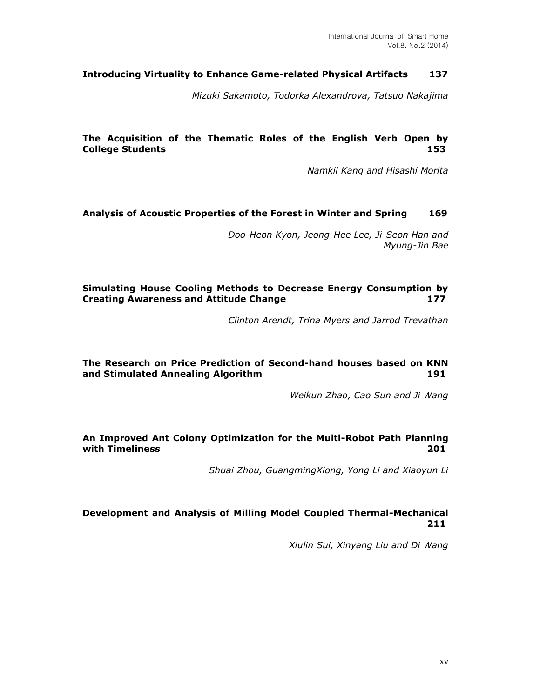## **Introducing Virtuality to Enhance Game-related Physical Artifacts 137**

*Mizuki Sakamoto, Todorka Alexandrova, Tatsuo Nakajima*

#### **The Acquisition of the Thematic Roles of the English Verb Open by College Students 153**

*Namkil Kang and Hisashi Morita*

#### **Analysis of Acoustic Properties of the Forest in Winter and Spring 169**

*Doo-Heon Kyon, Jeong-Hee Lee, Ji-Seon Han and Myung-Jin Bae*

#### **Simulating House Cooling Methods to Decrease Energy Consumption by Creating Awareness and Attitude Change 177**

*Clinton Arendt, Trina Myers and Jarrod Trevathan*

## **The Research on Price Prediction of Second-hand houses based on KNN and Stimulated Annealing Algorithm 191**

*Weikun Zhao, Cao Sun and Ji Wang*

#### **An Improved Ant Colony Optimization for the Multi-Robot Path Planning with Timeliness 201**

*Shuai Zhou, GuangmingXiong, Yong Li and Xiaoyun Li*

#### **Development and Analysis of Milling Model Coupled Thermal-Mechanical 211**

*Xiulin Sui, Xinyang Liu and Di Wang*